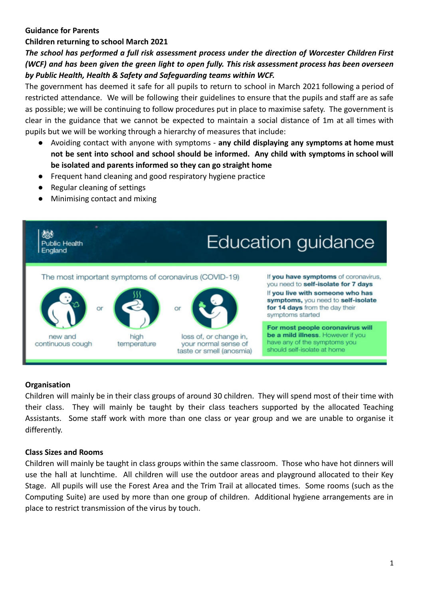## **Guidance for Parents**

# **Children returning to school March 2021**

*The school has performed a full risk assessment process under the direction of Worcester Children First* (WCF) and has been given the green light to open fully. This risk assessment process has been overseen *by Public Health, Health & Safety and Safeguarding teams within WCF.*

The government has deemed it safe for all pupils to return to school in March 2021 following a period of restricted attendance. We will be following their guidelines to ensure that the pupils and staff are as safe as possible; we will be continuing to follow procedures put in place to maximise safety. The government is clear in the guidance that we cannot be expected to maintain a social distance of 1m at all times with pupils but we will be working through a hierarchy of measures that include:

- Avoiding contact with anyone with symptoms **any child displaying any symptoms at home must not be sent into school and school should be informed. Any child with symptoms in school will be isolated and parents informed so they can go straight home**
- Frequent hand cleaning and good respiratory hygiene practice
- Regular cleaning of settings
- Minimising contact and mixing



# **Organisation**

Children will mainly be in their class groups of around 30 children. They will spend most of their time with their class. They will mainly be taught by their class teachers supported by the allocated Teaching Assistants. Some staff work with more than one class or year group and we are unable to organise it differently.

## **Class Sizes and Rooms**

Children will mainly be taught in class groups within the same classroom. Those who have hot dinners will use the hall at lunchtime. All children will use the outdoor areas and playground allocated to their Key Stage. All pupils will use the Forest Area and the Trim Trail at allocated times. Some rooms (such as the Computing Suite) are used by more than one group of children. Additional hygiene arrangements are in place to restrict transmission of the virus by touch.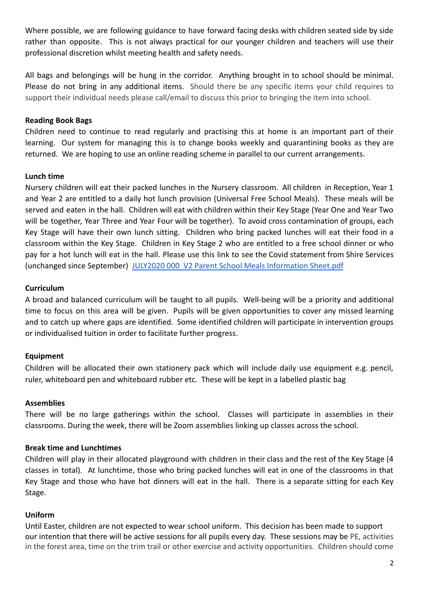Where possible, we are following guidance to have forward facing desks with children seated side by side rather than opposite. This is not always practical for our younger children and teachers will use their professional discretion whilst meeting health and safety needs.

All bags and belongings will be hung in the corridor. Anything brought in to school should be minimal. Please do not bring in any additional items. Should there be any specific items your child requires to support their individual needs please call/email to discuss this prior to bringing the item into school.

## **Reading Book Bags**

Children need to continue to read regularly and practising this at home is an important part of their learning. Our system for managing this is to change books weekly and quarantining books as they are returned. We are hoping to use an online reading scheme in parallel to our current arrangements.

### **Lunch time**

Nursery children will eat their packed lunches in the Nursery classroom. All children in Reception, Year 1 and Year 2 are entitled to a daily hot lunch provision (Universal Free School Meals). These meals will be served and eaten in the hall. Children will eat with children within their Key Stage (Year One and Year Two will be together, Year Three and Year Four will be together). To avoid cross contamination of groups, each Key Stage will have their own lunch sitting. Children who bring packed lunches will eat their food in a classroom within the Key Stage. Children in Key Stage 2 who are entitled to a free school dinner or who pay for a hot lunch will eat in the hall. Please use this link to see the Covid statement from Shire Services (unchanged since September) JULY2020 000 V2 Parent [School Meals Information Sheet.pdf](https://drive.google.com/file/d/1hZ78gV0O23TXg7O2ATYgDuEbjbZgGGJj/view?usp=sharing)

### **Curriculum**

A broad and balanced curriculum will be taught to all pupils. Well-being will be a priority and additional time to focus on this area will be given. Pupils will be given opportunities to cover any missed learning and to catch up where gaps are identified. Some identified children will participate in intervention groups or individualised tuition in order to facilitate further progress.

## **Equipment**

Children will be allocated their own stationery pack which will include daily use equipment e.g. pencil, ruler, whiteboard pen and whiteboard rubber etc. These will be kept in a labelled plastic bag

### **Assemblies**

There will be no large gatherings within the school. Classes will participate in assemblies in their classrooms. During the week, there will be Zoom assemblies linking up classes across the school.

### **Break time and Lunchtimes**

Children will play in their allocated playground with children in their class and the rest of the Key Stage (4 classes in total). At lunchtime, those who bring packed lunches will eat in one of the classrooms in that Key Stage and those who have hot dinners will eat in the hall. There is a separate sitting for each Key Stage.

## **Uniform**

Until Easter, children are not expected to wear school uniform. This decision has been made to support our intention that there will be active sessions for all pupils every day. These sessions may be PE, activities in the forest area, time on the trim trail or other exercise and activity opportunities. Children should come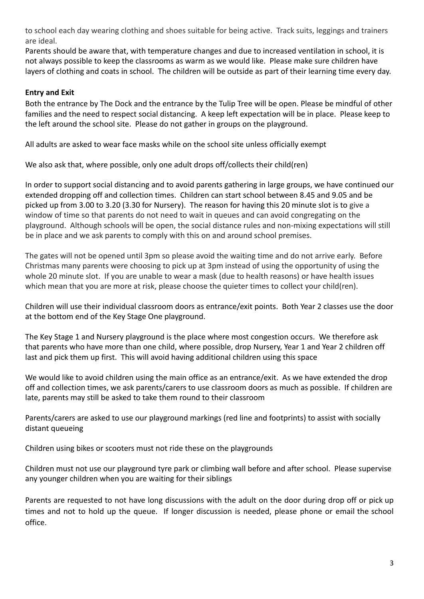to school each day wearing clothing and shoes suitable for being active. Track suits, leggings and trainers are ideal.

Parents should be aware that, with temperature changes and due to increased ventilation in school, it is not always possible to keep the classrooms as warm as we would like. Please make sure children have layers of clothing and coats in school. The children will be outside as part of their learning time every day.

# **Entry and Exit**

Both the entrance by The Dock and the entrance by the Tulip Tree will be open. Please be mindful of other families and the need to respect social distancing. A keep left expectation will be in place. Please keep to the left around the school site. Please do not gather in groups on the playground.

All adults are asked to wear face masks while on the school site unless officially exempt

We also ask that, where possible, only one adult drops off/collects their child(ren)

In order to support social distancing and to avoid parents gathering in large groups, we have continued our extended dropping off and collection times. Children can start school between 8.45 and 9.05 and be picked up from 3.00 to 3.20 (3.30 for Nursery). The reason for having this 20 minute slot is to give a window of time so that parents do not need to wait in queues and can avoid congregating on the playground. Although schools will be open, the social distance rules and non-mixing expectations will still be in place and we ask parents to comply with this on and around school premises.

The gates will not be opened until 3pm so please avoid the waiting time and do not arrive early. Before Christmas many parents were choosing to pick up at 3pm instead of using the opportunity of using the whole 20 minute slot. If you are unable to wear a mask (due to health reasons) or have health issues which mean that you are more at risk, please choose the quieter times to collect your child(ren).

Children will use their individual classroom doors as entrance/exit points. Both Year 2 classes use the door at the bottom end of the Key Stage One playground.

The Key Stage 1 and Nursery playground is the place where most congestion occurs. We therefore ask that parents who have more than one child, where possible, drop Nursery, Year 1 and Year 2 children off last and pick them up first. This will avoid having additional children using this space

We would like to avoid children using the main office as an entrance/exit. As we have extended the drop off and collection times, we ask parents/carers to use classroom doors as much as possible. If children are late, parents may still be asked to take them round to their classroom

Parents/carers are asked to use our playground markings (red line and footprints) to assist with socially distant queueing

Children using bikes or scooters must not ride these on the playgrounds

Children must not use our playground tyre park or climbing wall before and after school. Please supervise any younger children when you are waiting for their siblings

Parents are requested to not have long discussions with the adult on the door during drop off or pick up times and not to hold up the queue. If longer discussion is needed, please phone or email the school office.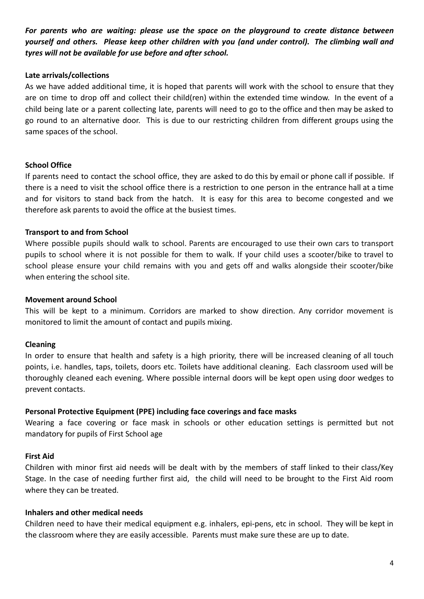*For parents who are waiting: please use the space on the playground to create distance between yourself and others. Please keep other children with you (and under control). The climbing wall and tyres will not be available for use before and after school.*

### **Late arrivals/collections**

As we have added additional time, it is hoped that parents will work with the school to ensure that they are on time to drop off and collect their child(ren) within the extended time window. In the event of a child being late or a parent collecting late, parents will need to go to the office and then may be asked to go round to an alternative door. This is due to our restricting children from different groups using the same spaces of the school.

### **School Office**

If parents need to contact the school office, they are asked to do this by email or phone call if possible. If there is a need to visit the school office there is a restriction to one person in the entrance hall at a time and for visitors to stand back from the hatch. It is easy for this area to become congested and we therefore ask parents to avoid the office at the busiest times.

### **Transport to and from School**

Where possible pupils should walk to school. Parents are encouraged to use their own cars to transport pupils to school where it is not possible for them to walk. If your child uses a scooter/bike to travel to school please ensure your child remains with you and gets off and walks alongside their scooter/bike when entering the school site.

#### **Movement around School**

This will be kept to a minimum. Corridors are marked to show direction. Any corridor movement is monitored to limit the amount of contact and pupils mixing.

### **Cleaning**

In order to ensure that health and safety is a high priority, there will be increased cleaning of all touch points, i.e. handles, taps, toilets, doors etc. Toilets have additional cleaning. Each classroom used will be thoroughly cleaned each evening. Where possible internal doors will be kept open using door wedges to prevent contacts.

#### **Personal Protective Equipment (PPE) including face coverings and face masks**

Wearing a face covering or face mask in schools or other education settings is permitted but not mandatory for pupils of First School age

#### **First Aid**

Children with minor first aid needs will be dealt with by the members of staff linked to their class/Key Stage. In the case of needing further first aid, the child will need to be brought to the First Aid room where they can be treated.

#### **Inhalers and other medical needs**

Children need to have their medical equipment e.g. inhalers, epi-pens, etc in school. They will be kept in the classroom where they are easily accessible. Parents must make sure these are up to date.